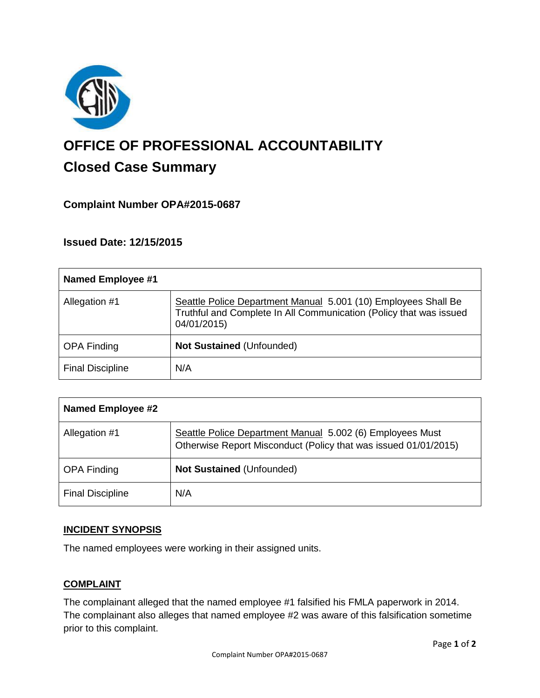

# **OFFICE OF PROFESSIONAL ACCOUNTABILITY Closed Case Summary**

## **Complaint Number OPA#2015-0687**

**Issued Date: 12/15/2015**

| Named Employee #1       |                                                                                                                                                     |
|-------------------------|-----------------------------------------------------------------------------------------------------------------------------------------------------|
| Allegation #1           | Seattle Police Department Manual 5.001 (10) Employees Shall Be<br>Truthful and Complete In All Communication (Policy that was issued<br>04/01/2015) |
| <b>OPA Finding</b>      | <b>Not Sustained (Unfounded)</b>                                                                                                                    |
| <b>Final Discipline</b> | N/A                                                                                                                                                 |

| <b>Named Employee #2</b> |                                                                                                                              |
|--------------------------|------------------------------------------------------------------------------------------------------------------------------|
| Allegation #1            | Seattle Police Department Manual 5.002 (6) Employees Must<br>Otherwise Report Misconduct (Policy that was issued 01/01/2015) |
| <b>OPA Finding</b>       | Not Sustained (Unfounded)                                                                                                    |
| <b>Final Discipline</b>  | N/A                                                                                                                          |

## **INCIDENT SYNOPSIS**

The named employees were working in their assigned units.

## **COMPLAINT**

The complainant alleged that the named employee #1 falsified his FMLA paperwork in 2014. The complainant also alleges that named employee #2 was aware of this falsification sometime prior to this complaint.